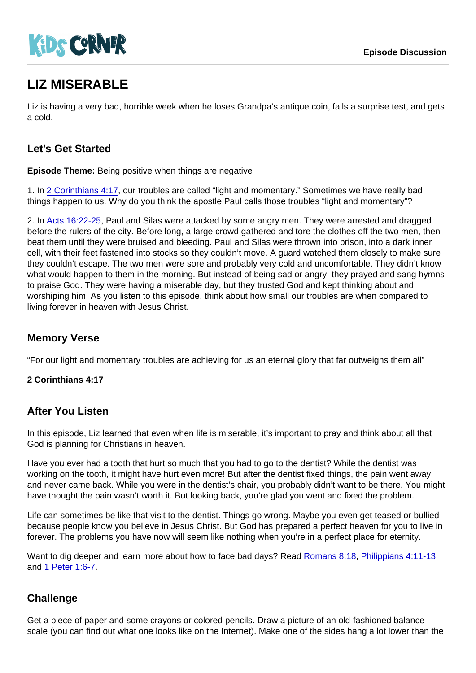# LIZ MISERABLE

Liz is having a very bad, horrible week when he loses Grandpa's antique coin, fails a surprise test, and gets a cold.

## Let's Get Started

Episode Theme: Being positive when things are negative

1. In [2 Corinthians 4:17,](https://www.biblegateway.com/passage/?search=2+Corinthians+4:17) our troubles are called "light and momentary." Sometimes we have really bad things happen to us. Why do you think the apostle Paul calls those troubles "light and momentary"?

2. In [Acts 16:22-25](https://www.biblegateway.com/passage/?search=Acts+16:22-25), Paul and Silas were attacked by some angry men. They were arrested and dragged before the rulers of the city. Before long, a large crowd gathered and tore the clothes off the two men, then beat them until they were bruised and bleeding. Paul and Silas were thrown into prison, into a dark inner cell, with their feet fastened into stocks so they couldn't move. A guard watched them closely to make sure they couldn't escape. The two men were sore and probably very cold and uncomfortable. They didn't know what would happen to them in the morning. But instead of being sad or angry, they prayed and sang hymns to praise God. They were having a miserable day, but they trusted God and kept thinking about and worshiping him. As you listen to this episode, think about how small our troubles are when compared to living forever in heaven with Jesus Christ.

#### Memory Verse

"For our light and momentary troubles are achieving for us an eternal glory that far outweighs them all"

2 Corinthians 4:17

#### After You Listen

In this episode, Liz learned that even when life is miserable, it's important to pray and think about all that God is planning for Christians in heaven.

Have you ever had a tooth that hurt so much that you had to go to the dentist? While the dentist was working on the tooth, it might have hurt even more! But after the dentist fixed things, the pain went away and never came back. While you were in the dentist's chair, you probably didn't want to be there. You might have thought the pain wasn't worth it. But looking back, you're glad you went and fixed the problem.

Life can sometimes be like that visit to the dentist. Things go wrong. Maybe you even get teased or bullied because people know you believe in Jesus Christ. But God has prepared a perfect heaven for you to live in forever. The problems you have now will seem like nothing when you're in a perfect place for eternity.

Want to dig deeper and learn more about how to face bad days? Read [Romans 8:18,](https://www.biblegateway.com/passage/?search=Romans+8:18) [Philippians 4:11-13](https://www.biblegateway.com/passage/?search=Philippians+4:11-13), and [1 Peter 1:6-7](https://www.biblegateway.com/passage/?search=1+Peter+1:6-7).

#### **Challenge**

Get a piece of paper and some crayons or colored pencils. Draw a picture of an old-fashioned balance scale (you can find out what one looks like on the Internet). Make one of the sides hang a lot lower than the